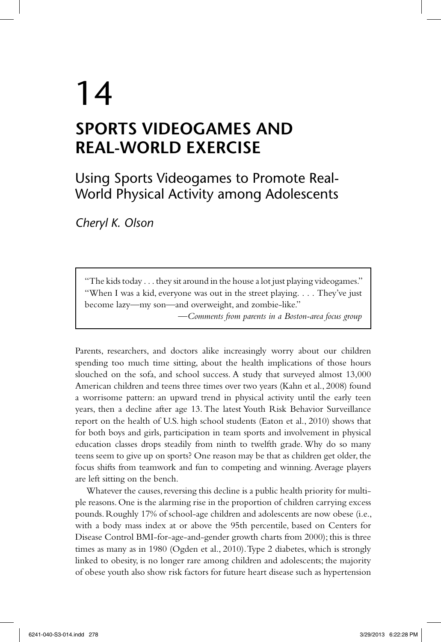# 14 **SPORTS VIDEOGAMES AND REAL-WORLD EXERCISE**

Using Sports Videogames to Promote Real-World Physical Activity among Adolescents

*Cheryl K. Olson* 

"The kids today . . . they sit around in the house a lot just playing videogames." "When I was a kid, everyone was out in the street playing. . . . They've just become lazy—my son—and overweight, and zombie-like."

—*Comments from parents in a Boston-area focus group* 

Parents, researchers, and doctors alike increasingly worry about our children spending too much time sitting, about the health implications of those hours slouched on the sofa, and school success. A study that surveyed almost 13,000 American children and teens three times over two years (Kahn et al., 2008) found a worrisome pattern: an upward trend in physical activity until the early teen years, then a decline after age 13. The latest Youth Risk Behavior Surveillance report on the health of U.S. high school students (Eaton et al., 2010) shows that for both boys and girls, participation in team sports and involvement in physical education classes drops steadily from ninth to twelfth grade. Why do so many teens seem to give up on sports? One reason may be that as children get older, the focus shifts from teamwork and fun to competing and winning. Average players are left sitting on the bench.

Whatever the causes, reversing this decline is a public health priority for multiple reasons. One is the alarming rise in the proportion of children carrying excess pounds. Roughly 17% of school-age children and adolescents are now obese (i.e., with a body mass index at or above the 95th percentile, based on Centers for Disease Control BMI-for-age-and-gender growth charts from 2000); this is three times as many as in 1980 (Ogden et al., 2010). Type 2 diabetes, which is strongly linked to obesity, is no longer rare among children and adolescents; the majority of obese youth also show risk factors for future heart disease such as hypertension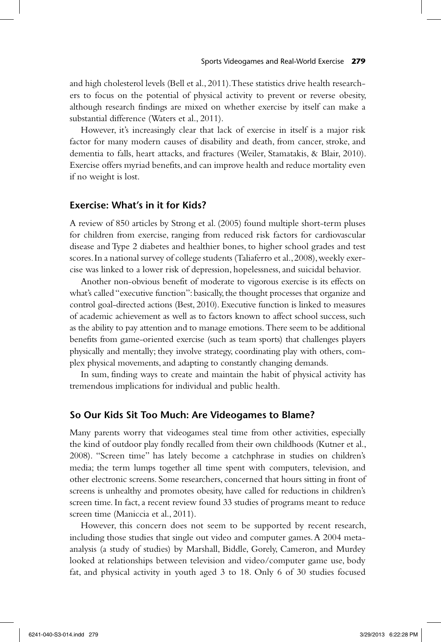and high cholesterol levels (Bell et al., 2011). These statistics drive health researchers to focus on the potential of physical activity to prevent or reverse obesity, although research findings are mixed on whether exercise by itself can make a substantial difference (Waters et al., 2011).

However, it's increasingly clear that lack of exercise in itself is a major risk factor for many modern causes of disability and death, from cancer, stroke, and dementia to falls, heart attacks, and fractures (Weiler, Stamatakis, & Blair, 2010). Exercise offers myriad benefits, and can improve health and reduce mortality even if no weight is lost.

## **Exercise: What's in it for Kids?**

A review of 850 articles by Strong et al. (2005) found multiple short-term pluses for children from exercise, ranging from reduced risk factors for cardiovascular disease and Type 2 diabetes and healthier bones, to higher school grades and test scores. In a national survey of college students (Taliaferro et al., 2008), weekly exercise was linked to a lower risk of depression, hopelessness, and suicidal behavior.

Another non-obvious benefit of moderate to vigorous exercise is its effects on what's called "executive function": basically, the thought processes that organize and control goal-directed actions (Best, 2010). Executive function is linked to measures of academic achievement as well as to factors known to affect school success, such as the ability to pay attention and to manage emotions. There seem to be additional benefits from game-oriented exercise (such as team sports) that challenges players physically and mentally; they involve strategy, coordinating play with others, complex physical movements, and adapting to constantly changing demands.

In sum, finding ways to create and maintain the habit of physical activity has tremendous implications for individual and public health.

## **So Our Kids Sit Too Much: Are Videogames to Blame?**

Many parents worry that videogames steal time from other activities, especially the kind of outdoor play fondly recalled from their own childhoods (Kutner et al., 2008). "Screen time" has lately become a catchphrase in studies on children's media; the term lumps together all time spent with computers, television, and other electronic screens. Some researchers, concerned that hours sitting in front of screens is unhealthy and promotes obesity, have called for reductions in children's screen time. In fact, a recent review found 33 studies of programs meant to reduce screen time (Maniccia et al., 2011).

However, this concern does not seem to be supported by recent research, including those studies that single out video and computer games. A 2004 metaanalysis (a study of studies) by Marshall, Biddle, Gorely, Cameron, and Murdey looked at relationships between television and video/computer game use, body fat, and physical activity in youth aged 3 to 18. Only 6 of 30 studies focused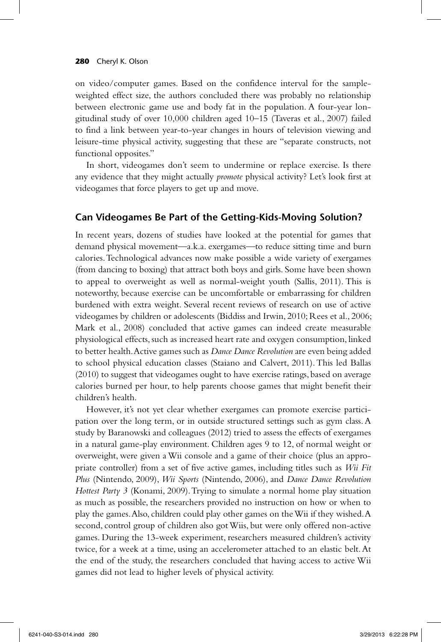on video/computer games. Based on the confidence interval for the sampleweighted effect size, the authors concluded there was probably no relationship between electronic game use and body fat in the population. A four-year longitudinal study of over 10,000 children aged 10–15 ( Taveras et al., 2007 ) failed to find a link between year-to-year changes in hours of television viewing and leisure-time physical activity, suggesting that these are "separate constructs, not functional opposites."

In short, videogames don't seem to undermine or replace exercise. Is there any evidence that they might actually *promote* physical activity? Let's look first at videogames that force players to get up and move.

## **Can Videogames Be Part of the Getting-Kids-Moving Solution?**

In recent years, dozens of studies have looked at the potential for games that demand physical movement—a.k.a. exergames—to reduce sitting time and burn calories. Technological advances now make possible a wide variety of exergames (from dancing to boxing) that attract both boys and girls. Some have been shown to appeal to overweight as well as normal-weight youth (Sallis, 2011). This is noteworthy, because exercise can be uncomfortable or embarrassing for children burdened with extra weight. Several recent reviews of research on use of active videogames by children or adolescents (Biddiss and Irwin, 2010; Rees et al., 2006; Mark et al., 2008) concluded that active games can indeed create measurable physiological effects, such as increased heart rate and oxygen consumption, linked to better health. Active games such as *Dance Dance Revolution* are even being added to school physical education classes ( Staiano and Calvert, 2011 ). This led Ballas  $(2010)$  to suggest that videogames ought to have exercise ratings, based on average calories burned per hour, to help parents choose games that might benefit their children's health.

However, it's not yet clear whether exergames can promote exercise participation over the long term, or in outside structured settings such as gym class. A study by Baranowski and colleagues (2012) tried to assess the effects of exergames in a natural game-play environment. Children ages 9 to 12, of normal weight or overweight, were given a Wii console and a game of their choice (plus an appropriate controller) from a set of five active games, including titles such as *Wii Fit Plus* (Nintendo, 2009), *Wii Sports* (Nintendo, 2006), and *Dance Dance Revolution Hottest Party 3* (Konami, 2009). Trying to simulate a normal home play situation as much as possible, the researchers provided no instruction on how or when to play the games. Also, children could play other games on the Wii if they wished. A second, control group of children also got Wiis, but were only offered non-active games. During the 13-week experiment, researchers measured children's activity twice, for a week at a time, using an accelerometer attached to an elastic belt. At the end of the study, the researchers concluded that having access to active Wii games did not lead to higher levels of physical activity.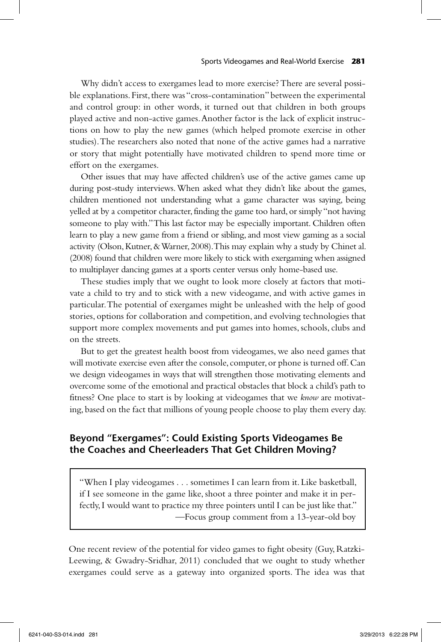Why didn't access to exergames lead to more exercise? There are several possible explanations. First, there was "cross-contamination" between the experimental and control group: in other words, it turned out that children in both groups played active and non-active games. Another factor is the lack of explicit instructions on how to play the new games (which helped promote exercise in other studies). The researchers also noted that none of the active games had a narrative or story that might potentially have motivated children to spend more time or effort on the exergames.

Other issues that may have affected children's use of the active games came up during post-study interviews. When asked what they didn't like about the games, children mentioned not understanding what a game character was saying, being yelled at by a competitor character, finding the game too hard, or simply "not having someone to play with." This last factor may be especially important. Children often learn to play a new game from a friend or sibling, and most view gaming as a social activity (Olson, Kutner, & Warner, 2008). This may explain why a study by Chinet al.  $(2008)$  found that children were more likely to stick with exergaming when assigned to multiplayer dancing games at a sports center versus only home-based use.

These studies imply that we ought to look more closely at factors that motivate a child to try and to stick with a new videogame, and with active games in particular. The potential of exergames might be unleashed with the help of good stories, options for collaboration and competition, and evolving technologies that support more complex movements and put games into homes, schools, clubs and on the streets.

But to get the greatest health boost from videogames, we also need games that will motivate exercise even after the console, computer, or phone is turned off. Can we design videogames in ways that will strengthen those motivating elements and overcome some of the emotional and practical obstacles that block a child's path to fitness? One place to start is by looking at videogames that we *know* are motivating, based on the fact that millions of young people choose to play them every day.

# **Beyond "Exergames": Could Existing Sports Videogames Be the Coaches and Cheerleaders That Get Children Moving?**

"When I play videogames . . . sometimes I can learn from it. Like basketball, if I see someone in the game like, shoot a three pointer and make it in perfectly, I would want to practice my three pointers until I can be just like that." — Focus group comment from a 13-year-old boy

One recent review of the potential for video games to fight obesity (Guy, Ratzki-Leewing, & Gwadry-Sridhar, 2011) concluded that we ought to study whether exergames could serve as a gateway into organized sports. The idea was that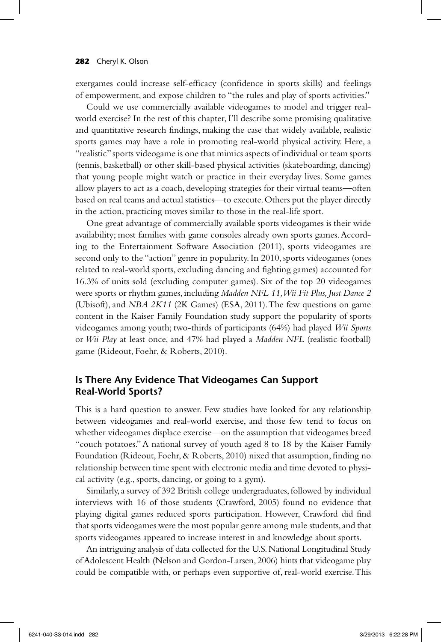exergames could increase self-efficacy (confidence in sports skills) and feelings of empowerment, and expose children to "the rules and play of sports activities."

Could we use commercially available videogames to model and trigger realworld exercise? In the rest of this chapter, I'll describe some promising qualitative and quantitative research findings, making the case that widely available, realistic sports games may have a role in promoting real-world physical activity. Here, a "realistic" sports videogame is one that mimics aspects of individual or team sports (tennis, basketball) or other skill-based physical activities (skateboarding, dancing) that young people might watch or practice in their everyday lives. Some games allow players to act as a coach, developing strategies for their virtual teams—often based on real teams and actual statistics—to execute. Others put the player directly in the action, practicing moves similar to those in the real-life sport.

One great advantage of commercially available sports videogames is their wide availability; most families with game consoles already own sports games. According to the Entertainment Software Association (2011), sports videogames are second only to the "action" genre in popularity. In 2010, sports videogames (ones related to real-world sports, excluding dancing and fighting games) accounted for 16.3% of units sold (excluding computer games). Six of the top 20 videogames were sports or rhythm games, including *Madden NFL 11, Wii Fit Plus, Just Dance 2* (Ubisoft), and *NBA 2K11* (2K Games) (ESA, 2011). The few questions on game content in the Kaiser Family Foundation study support the popularity of sports videogames among youth; two-thirds of participants (64%) had played *Wii Sports*  or *Wii Play* at least once, and 47% had played a *Madden NFL* (realistic football) game (Rideout, Foehr, & Roberts, 2010).

# **Is There Any Evidence That Videogames Can Support Real-World Sports?**

This is a hard question to answer. Few studies have looked for any relationship between videogames and real-world exercise, and those few tend to focus on whether videogames displace exercise—on the assumption that videogames breed "couch potatoes." A national survey of youth aged 8 to 18 by the Kaiser Family Foundation (Rideout, Foehr, & Roberts, 2010) nixed that assumption, finding no relationship between time spent with electronic media and time devoted to physical activity (e.g., sports, dancing, or going to a gym).

Similarly, a survey of 392 British college undergraduates, followed by individual interviews with 16 of those students (Crawford, 2005) found no evidence that playing digital games reduced sports participation. However, Crawford did find that sports videogames were the most popular genre among male students, and that sports videogames appeared to increase interest in and knowledge about sports.

An intriguing analysis of data collected for the U.S. National Longitudinal Study of Adolescent Health ( Nelson and Gordon-Larsen, 2006 ) hints that videogame play could be compatible with, or perhaps even supportive of, real-world exercise. This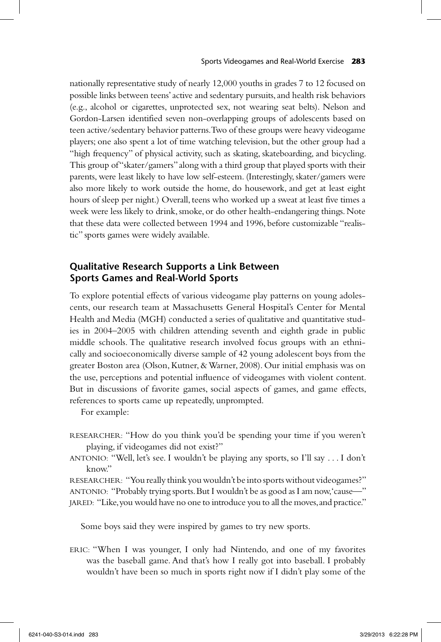nationally representative study of nearly 12,000 youths in grades 7 to 12 focused on possible links between teens' active and sedentary pursuits, and health risk behaviors (e.g., alcohol or cigarettes, unprotected sex, not wearing seat belts). Nelson and Gordon-Larsen identified seven non-overlapping groups of adolescents based on teen active/sedentary behavior patterns. Two of these groups were heavy videogame players; one also spent a lot of time watching television, but the other group had a "high frequency" of physical activity, such as skating, skateboarding, and bicycling. This group of "skater/gamers" along with a third group that played sports with their parents, were least likely to have low self-esteem. (Interestingly, skater/gamers were also more likely to work outside the home, do housework, and get at least eight hours of sleep per night.) Overall, teens who worked up a sweat at least five times a week were less likely to drink, smoke, or do other health-endangering things. Note that these data were collected between 1994 and 1996, before customizable "realistic" sports games were widely available.

# **Qualitative Research Supports a Link Between Sports Games and Real-World Sports**

To explore potential effects of various videogame play patterns on young adolescents, our research team at Massachusetts General Hospital's Center for Mental Health and Media (MGH) conducted a series of qualitative and quantitative studies in 2004–2005 with children attending seventh and eighth grade in public middle schools. The qualitative research involved focus groups with an ethnically and socioeconomically diverse sample of 42 young adolescent boys from the greater Boston area (Olson, Kutner, & Warner, 2008). Our initial emphasis was on the use, perceptions and potential influence of videogames with violent content. But in discussions of favorite games, social aspects of games, and game effects, references to sports came up repeatedly, unprompted.

For example:

- RESEARCHER: "How do you think you'd be spending your time if you weren't playing, if videogames did not exist?"
- ANTONIO: "Well, let's see. I wouldn't be playing any sports, so I'll say . . . I don't know."

RESEARCHER: "You really think you wouldn't be into sports without videogames?" ANTONIO: "Probably trying sports. But I wouldn't be as good as I am now, 'cause—" JARED: "Like, you would have no one to introduce you to all the moves, and practice."

Some boys said they were inspired by games to try new sports.

ERIC: "When I was younger, I only had Nintendo, and one of my favorites was the baseball game. And that's how I really got into baseball. I probably wouldn't have been so much in sports right now if I didn't play some of the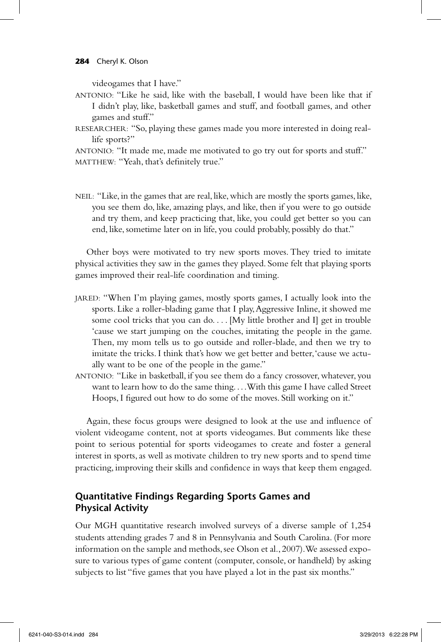videogames that I have."

- ANTONIO: "Like he said, like with the baseball, I would have been like that if I didn't play, like, basketball games and stuff, and football games, and other games and stuff."
- RESEARCHER: "So, playing these games made you more interested in doing reallife sports?"

ANTONIO: "It made me, made me motivated to go try out for sports and stuff." MATTHEW: "Yeah, that's definitely true."

NEIL: "Like, in the games that are real, like, which are mostly the sports games, like, you see them do, like, amazing plays, and like, then if you were to go outside and try them, and keep practicing that, like, you could get better so you can end, like, sometime later on in life, you could probably, possibly do that."

Other boys were motivated to try new sports moves. They tried to imitate physical activities they saw in the games they played. Some felt that playing sports games improved their real-life coordination and timing.

- JARED: "When I'm playing games, mostly sports games, I actually look into the sports. Like a roller-blading game that I play, Aggressive Inline, it showed me some cool tricks that you can do. . . . [My little brother and I] get in trouble 'cause we start jumping on the couches, imitating the people in the game. Then, my mom tells us to go outside and roller-blade, and then we try to imitate the tricks. I think that's how we get better and better, 'cause we actually want to be one of the people in the game."
- ANTONIO: "Like in basketball, if you see them do a fancy crossover, whatever, you want to learn how to do the same thing. . . . With this game I have called Street Hoops, I figured out how to do some of the moves. Still working on it."

Again, these focus groups were designed to look at the use and influence of violent videogame content, not at sports videogames. But comments like these point to serious potential for sports videogames to create and foster a general interest in sports, as well as motivate children to try new sports and to spend time practicing, improving their skills and confidence in ways that keep them engaged.

# **Quantitative Findings Regarding Sports Games and Physical Activity**

Our MGH quantitative research involved surveys of a diverse sample of 1,254 students attending grades 7 and 8 in Pennsylvania and South Carolina. (For more information on the sample and methods, see Olson et al., 2007 ). We assessed exposure to various types of game content (computer, console, or handheld) by asking subjects to list "five games that you have played a lot in the past six months."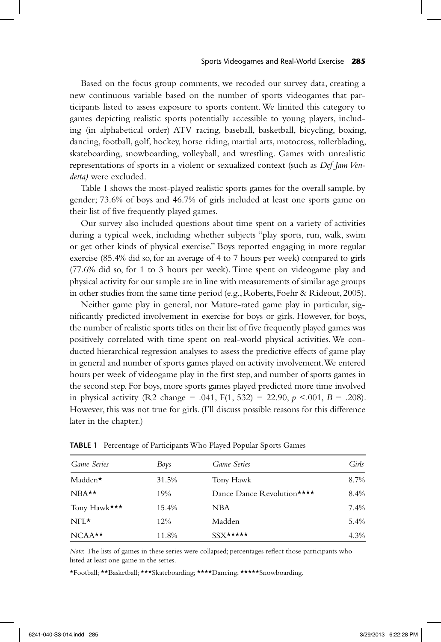Based on the focus group comments, we recoded our survey data, creating a new continuous variable based on the number of sports videogames that participants listed to assess exposure to sports content. We limited this category to games depicting realistic sports potentially accessible to young players, including (in alphabetical order) ATV racing, baseball, basketball, bicycling, boxing, dancing, football, golf, hockey, horse riding, martial arts, motocross, rollerblading, skateboarding, snowboarding, volleyball, and wrestling. Games with unrealistic representations of sports in a violent or sexualized context (such as *Def Jam Vendetta)* were excluded.

Table 1 shows the most-played realistic sports games for the overall sample, by gender; 73.6% of boys and 46.7% of girls included at least one sports game on their list of five frequently played games.

Our survey also included questions about time spent on a variety of activities during a typical week, including whether subjects "play sports, run, walk, swim or get other kinds of physical exercise." Boys reported engaging in more regular exercise (85.4% did so, for an average of 4 to 7 hours per week) compared to girls (77.6% did so, for 1 to 3 hours per week). Time spent on videogame play and physical activity for our sample are in line with measurements of similar age groups in other studies from the same time period (e.g., Roberts, Foehr & Rideout, 2005).

Neither game play in general, nor Mature-rated game play in particular, significantly predicted involvement in exercise for boys or girls. However, for boys, the number of realistic sports titles on their list of five frequently played games was positively correlated with time spent on real-world physical activities. We conducted hierarchical regression analyses to assess the predictive effects of game play in general and number of sports games played on activity involvement. We entered hours per week of videogame play in the first step, and number of sports games in the second step. For boys, more sports games played predicted more time involved in physical activity (R2 change = .041,  $F(1, 532) = 22.90$ ,  $p < .001$ ,  $B = .208$ ). However, this was not true for girls. (I'll discuss possible reasons for this difference later in the chapter.)

| <b>Game Series</b> | Boys  | <b>Game Series</b>         | Girls |
|--------------------|-------|----------------------------|-------|
| Madden*            | 31.5% | Tony Hawk                  | 8.7%  |
| $NBA**$            | 19%   | Dance Dance Revolution**** | 8.4%  |
| Tony Hawk***       | 15.4% | NBA                        | 7.4%  |
| $NFL*$             | 12%   | Madden                     | 5.4%  |
| $NCAA**$           | 11.8% | $SSX*****$                 | 4.3%  |

**TABLE 1** Percentage of Participants Who Played Popular Sports Games

*Note*: The lists of games in these series were collapsed; percentages reflect those participants who listed at least one game in the series.

\*Football; \*\*Basketball; \*\*\*Skateboarding; \*\*\*\*Dancing; \*\*\*\*\*Snowboarding.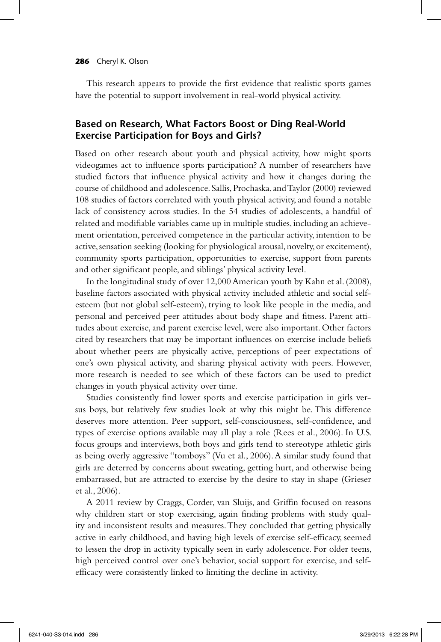This research appears to provide the first evidence that realistic sports games have the potential to support involvement in real-world physical activity.

## **Based on Research, What Factors Boost or Ding Real-World Exercise Participation for Boys and Girls?**

Based on other research about youth and physical activity, how might sports videogames act to influence sports participation? A number of researchers have studied factors that influence physical activity and how it changes during the course of childhood and adolescence. Sallis, Prochaska, and Taylor (2000) reviewed 108 studies of factors correlated with youth physical activity, and found a notable lack of consistency across studies. In the 54 studies of adolescents, a handful of related and modifiable variables came up in multiple studies, including an achievement orientation, perceived competence in the particular activity, intention to be active, sensation seeking (looking for physiological arousal, novelty, or excitement), community sports participation, opportunities to exercise, support from parents and other significant people, and siblings' physical activity level.

In the longitudinal study of over 12,000 American youth by Kahn et al. (2008), baseline factors associated with physical activity included athletic and social selfesteem (but not global self-esteem), trying to look like people in the media, and personal and perceived peer attitudes about body shape and fitness. Parent attitudes about exercise, and parent exercise level, were also important. Other factors cited by researchers that may be important influences on exercise include beliefs about whether peers are physically active, perceptions of peer expectations of one's own physical activity, and sharing physical activity with peers. However, more research is needed to see which of these factors can be used to predict changes in youth physical activity over time.

Studies consistently find lower sports and exercise participation in girls versus boys, but relatively few studies look at why this might be. This difference deserves more attention. Peer support, self-consciousness, self-confidence, and types of exercise options available may all play a role (Rees et al., 2006). In U.S. focus groups and interviews, both boys and girls tend to stereotype athletic girls as being overly aggressive "tomboys" ( Vu et al., 2006 ). A similar study found that girls are deterred by concerns about sweating, getting hurt, and otherwise being embarrassed, but are attracted to exercise by the desire to stay in shape (Grieser et al., 2006).

A 2011 review by Craggs, Corder, van Sluijs, and Griffin focused on reasons why children start or stop exercising, again finding problems with study quality and inconsistent results and measures. They concluded that getting physically active in early childhood, and having high levels of exercise self-efficacy, seemed to lessen the drop in activity typically seen in early adolescence. For older teens, high perceived control over one's behavior, social support for exercise, and selfefficacy were consistently linked to limiting the decline in activity.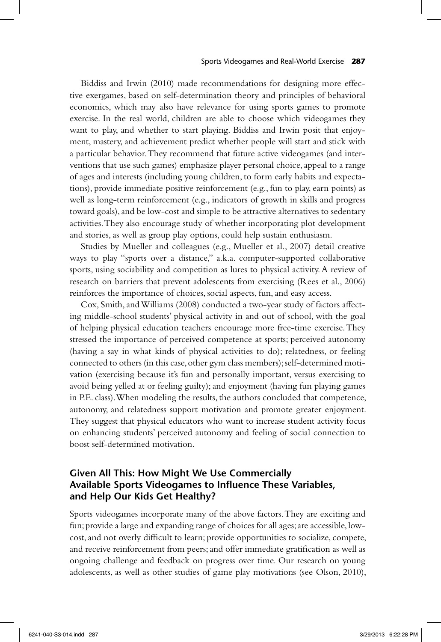Biddiss and Irwin (2010) made recommendations for designing more effective exergames, based on self-determination theory and principles of behavioral economics, which may also have relevance for using sports games to promote exercise. In the real world, children are able to choose which videogames they want to play, and whether to start playing. Biddiss and Irwin posit that enjoyment, mastery, and achievement predict whether people will start and stick with a particular behavior. They recommend that future active videogames (and interventions that use such games) emphasize player personal choice, appeal to a range of ages and interests (including young children, to form early habits and expectations), provide immediate positive reinforcement (e.g., fun to play, earn points) as well as long-term reinforcement (e.g., indicators of growth in skills and progress toward goals), and be low-cost and simple to be attractive alternatives to sedentary activities. They also encourage study of whether incorporating plot development and stories, as well as group play options, could help sustain enthusiasm.

Studies by Mueller and colleagues (e.g., Mueller et al., 2007) detail creative ways to play "sports over a distance," a.k.a. computer-supported collaborative sports, using sociability and competition as lures to physical activity. A review of research on barriers that prevent adolescents from exercising (Rees et al., 2006) reinforces the importance of choices, social aspects, fun, and easy access.

Cox, Smith, and Williams (2008) conducted a two-year study of factors affecting middle-school students' physical activity in and out of school, with the goal of helping physical education teachers encourage more free-time exercise. They stressed the importance of perceived competence at sports; perceived autonomy (having a say in what kinds of physical activities to do); relatedness, or feeling connected to others (in this case, other gym class members); self-determined motivation (exercising because it's fun and personally important, versus exercising to avoid being yelled at or feeling guilty); and enjoyment (having fun playing games in P.E. class). When modeling the results, the authors concluded that competence, autonomy, and relatedness support motivation and promote greater enjoyment. They suggest that physical educators who want to increase student activity focus on enhancing students' perceived autonomy and feeling of social connection to boost self-determined motivation.

# **Given All This: How Might We Use Commercially**  Available Sports Videogames to Influence These Variables, **and Help Our Kids Get Healthy?**

Sports videogames incorporate many of the above factors. They are exciting and fun; provide a large and expanding range of choices for all ages; are accessible, lowcost, and not overly difficult to learn; provide opportunities to socialize, compete, and receive reinforcement from peers; and offer immediate gratification as well as ongoing challenge and feedback on progress over time. Our research on young adolescents, as well as other studies of game play motivations (see Olson, 2010),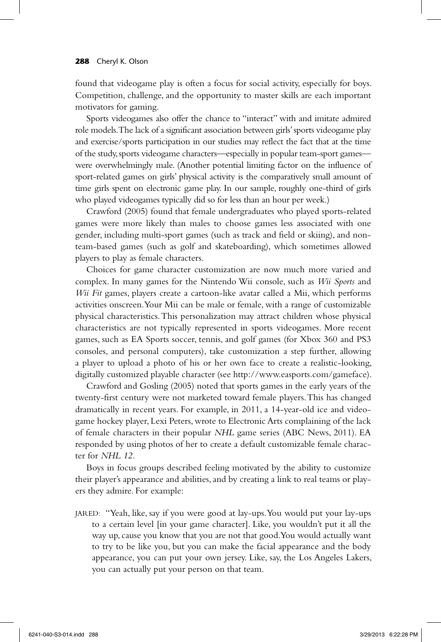found that videogame play is often a focus for social activity, especially for boys. Competition, challenge, and the opportunity to master skills are each important motivators for gaming.

Sports videogames also offer the chance to "interact" with and imitate admired role models. The lack of a significant association between girls' sports videogame play and exercise/sports participation in our studies may reflect the fact that at the time of the study, sports videogame characters—especially in popular team-sport games were overwhelmingly male. (Another potential limiting factor on the influence of sport-related games on girls' physical activity is the comparatively small amount of time girls spent on electronic game play. In our sample, roughly one-third of girls who played videogames typically did so for less than an hour per week.)

Crawford (2005) found that female undergraduates who played sports-related games were more likely than males to choose games less associated with one gender, including multi-sport games (such as track and field or skiing), and nonteam-based games (such as golf and skateboarding), which sometimes allowed players to play as female characters.

Choices for game character customization are now much more varied and complex. In many games for the Nintendo Wii console, such as *Wii Sports* and *Wii Fit* games, players create a cartoon-like avatar called a Mii, which performs activities onscreen. Your Mii can be male or female, with a range of customizable physical characteristics. This personalization may attract children whose physical characteristics are not typically represented in sports videogames. More recent games, such as EA Sports soccer, tennis, and golf games (for Xbox 360 and PS3 consoles, and personal computers), take customization a step further, allowing a player to upload a photo of his or her own face to create a realistic-looking, digitally customized playable character (see http://www.easports.com/gameface).

Crawford and Gosling (2005) noted that sports games in the early years of the twenty-first century were not marketed toward female players. This has changed dramatically in recent years. For example, in 2011, a 14-year-old ice and videogame hockey player, Lexi Peters, wrote to Electronic Arts complaining of the lack of female characters in their popular *NHL* game series (ABC News, 2011). EA responded by using photos of her to create a default customizable female character for *NHL 12.*

Boys in focus groups described feeling motivated by the ability to customize their player's appearance and abilities, and by creating a link to real teams or players they admire. For example:

JARED: "Yeah, like, say if you were good at lay-ups. You would put your lay-ups to a certain level [in your game character]. Like, you wouldn't put it all the way up, cause you know that you are not that good. You would actually want to try to be like you, but you can make the facial appearance and the body appearance, you can put your own jersey. Like, say, the Los Angeles Lakers, you can actually put your person on that team.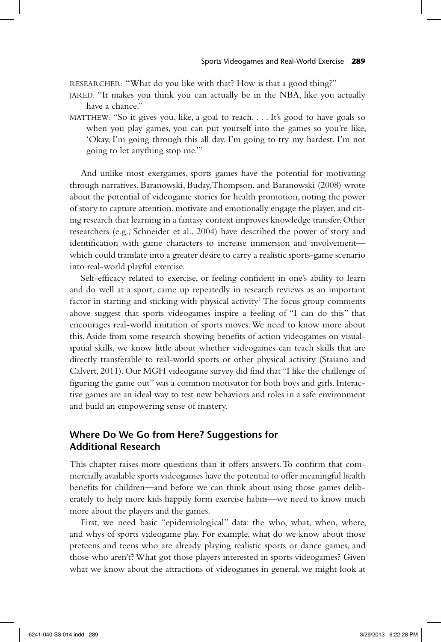RESEARCHER: "What do you like with that? How is that a good thing?"

- JARED: "It makes you think you can actually be in the NBA, like you actually have a chance."
- MATTHEW: "So it gives you, like, a goal to reach. . . . It's good to have goals so when you play games, you can put yourself into the games so you're like, 'Okay, I'm going through this all day. I'm going to try my hardest. I'm not going to let anything stop me.'"

And unlike most exergames, sports games have the potential for motivating through narratives. Baranowski, Buday, Thompson, and Baranowski (2008) wrote about the potential of videogame stories for health promotion, noting the power of story to capture attention, motivate and emotionally engage the player, and citing research that learning in a fantasy context improves knowledge transfer. Other researchers (e.g., Schneider et al., 2004) have described the power of story and identification with game characters to increase immersion and involvement which could translate into a greater desire to carry a realistic sports-game scenario into real-world playful exercise.

Self-efficacy related to exercise, or feeling confident in one's ability to learn and do well at a sport, came up repeatedly in research reviews as an important factor in starting and sticking with physical activity<sup>1</sup> The focus group comments above suggest that sports videogames inspire a feeling of "I can do this" that encourages real-world imitation of sports moves. We need to know more about this. Aside from some research showing benefits of action videogames on visualspatial skills, we know little about whether videogames can teach skills that are directly transferable to real-world sports or other physical activity (Staiano and Calvert, 2011 ). Our MGH videogame survey did find that "I like the challenge of figuring the game out" was a common motivator for both boys and girls. Interactive games are an ideal way to test new behaviors and roles in a safe environment and build an empowering sense of mastery.

# **Where Do We Go from Here? Suggestions for Additional Research**

This chapter raises more questions than it offers answers. To confirm that commercially available sports videogames have the potential to offer meaningful health benefits for children—and before we can think about using those games deliberately to help more kids happily form exercise habits—we need to know much more about the players and the games.

First, we need basic "epidemiological" data: the who, what, when, where, and whys of sports videogame play. For example, what do we know about those preteens and teens who are already playing realistic sports or dance games, and those who aren't? What got those players interested in sports videogames? Given what we know about the attractions of videogames in general, we might look at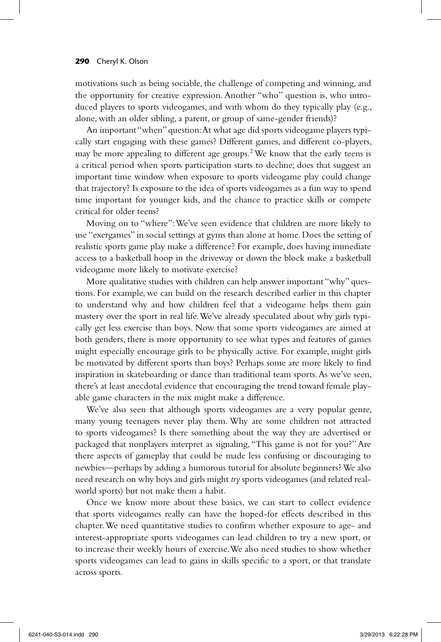motivations such as being sociable, the challenge of competing and winning, and the opportunity for creative expression. Another "who" question is, who introduced players to sports videogames, and with whom do they typically play (e.g., alone, with an older sibling, a parent, or group of same-gender friends)?

An important "when" question: At what age did sports videogame players typically start engaging with these games? Different games, and different co-players, may be more appealing to different age groups.<sup>2</sup> We know that the early teens is a critical period when sports participation starts to decline; does that suggest an important time window when exposure to sports videogame play could change that trajectory? Is exposure to the idea of sports videogames as a fun way to spend time important for younger kids, and the chance to practice skills or compete critical for older teens?

Moving on to "where": We've seen evidence that children are more likely to use "exergames" in social settings at gyms than alone at home. Does the setting of realistic sports game play make a difference? For example, does having immediate access to a basketball hoop in the driveway or down the block make a basketball videogame more likely to motivate exercise?

More qualitative studies with children can help answer important "why" questions. For example, we can build on the research described earlier in this chapter to understand why and how children feel that a videogame helps them gain mastery over the sport in real life. We've already speculated about why girls typically get less exercise than boys. Now that some sports videogames are aimed at both genders, there is more opportunity to see what types and features of games might especially encourage girls to be physically active. For example, might girls be motivated by different sports than boys? Perhaps some are more likely to find inspiration in skateboarding or dance than traditional team sports. As we've seen, there's at least anecdotal evidence that encouraging the trend toward female playable game characters in the mix might make a difference.

We've also seen that although sports videogames are a very popular genre, many young teenagers never play them. Why are some children not attracted to sports videogames? Is there something about the way they are advertised or packaged that nonplayers interpret as signaling, "This game is not for you?" Are there aspects of gameplay that could be made less confusing or discouraging to newbies—perhaps by adding a humorous tutorial for absolute beginners? We also need research on why boys and girls might *try* sports videogames (and related realworld sports) but not make them a habit.

Once we know more about these basics, we can start to collect evidence that sports videogames really can have the hoped-for effects described in this chapter. We need quantitative studies to confirm whether exposure to age- and interest-appropriate sports videogames can lead children to try a new sport, or to increase their weekly hours of exercise. We also need studies to show whether sports videogames can lead to gains in skills specific to a sport, or that translate across sports.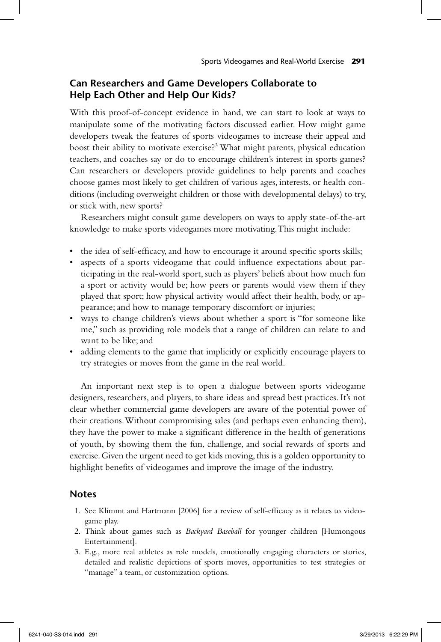# **Can Researchers and Game Developers Collaborate to Help Each Other and Help Our Kids?**

With this proof-of-concept evidence in hand, we can start to look at ways to manipulate some of the motivating factors discussed earlier. How might game developers tweak the features of sports videogames to increase their appeal and boost their ability to motivate exercise? 3 What might parents, physical education teachers, and coaches say or do to encourage children's interest in sports games? Can researchers or developers provide guidelines to help parents and coaches choose games most likely to get children of various ages, interests, or health conditions (including overweight children or those with developmental delays) to try, or stick with, new sports?

Researchers might consult game developers on ways to apply state-of-the-art knowledge to make sports videogames more motivating. This might include:

- the idea of self-efficacy, and how to encourage it around specific sports skills;
- aspects of a sports videogame that could influence expectations about participating in the real-world sport, such as players' beliefs about how much fun a sport or activity would be; how peers or parents would view them if they played that sport; how physical activity would affect their health, body, or appearance; and how to manage temporary discomfort or injuries;
- ways to change children's views about whether a sport is "for someone like me," such as providing role models that a range of children can relate to and want to be like; and
- adding elements to the game that implicitly or explicitly encourage players to try strategies or moves from the game in the real world.

An important next step is to open a dialogue between sports videogame designers, researchers, and players, to share ideas and spread best practices. It's not clear whether commercial game developers are aware of the potential power of their creations. Without compromising sales (and perhaps even enhancing them), they have the power to make a significant difference in the health of generations of youth, by showing them the fun, challenge, and social rewards of sports and exercise. Given the urgent need to get kids moving, this is a golden opportunity to highlight benefits of videogames and improve the image of the industry.

## **Notes**

- 1. See Klimmt and Hartmann [2006] for a review of self-efficacy as it relates to videogame play.
- 2 . Think about games such as *Backyard Baseball* for younger children [Humongous Entertainment].
- 3 . E.g., more real athletes as role models, emotionally engaging characters or stories, detailed and realistic depictions of sports moves, opportunities to test strategies or "manage" a team, or customization options.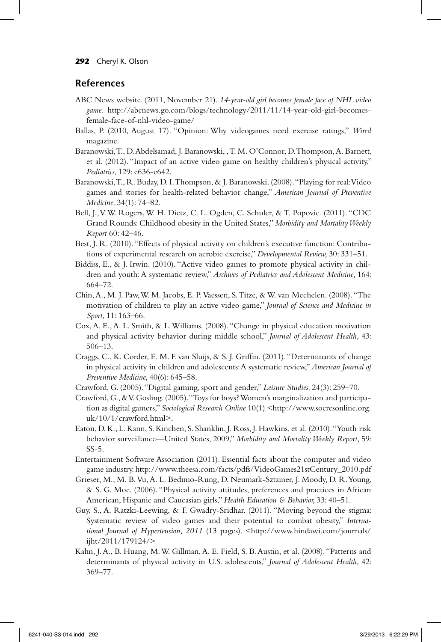## **References**

- ABC News website. (2011, November 21). *14-year-old girl becomes female face of NHL video game.* http://abcnews.go.com/blogs/technology/2011/11/14-year-old-girl-becomesfemale-face-of-nhl-video-game/
- Ballas, P. (2010, August 17). "Opinion: Why videogames need exercise ratings," *Wired* magazine.
- Baranowski, T., D. Abdelsamad, J. Baranowski, , T. M. O'Connor, D. Thompson, A. Barnett, et al. (2012). "Impact of an active video game on healthy children's physical activity," *Pediatrics*, 129: e636-e642.
- Baranowski, T., R. Buday, D. I. Thompson, & J. Baranowski. (2008). "Playing for real: Video games and stories for health-related behavior change," *American Journal of Preventive Medicine,* 34(1): 74–82.
- Bell, J., V. W. Rogers, W. H. Dietz, C. L. Ogden, C. Schuler, & T. Popovic. (2011). "CDC Grand Rounds: Childhood obesity in the United States," *Morbidity and Mortality Weekly Report* 60: 42–46.
- Best, J. R. (2010). "Effects of physical activity on children's executive function: Contributions of experimental research on aerobic exercise," *Developmental Review,* 30: 331–51.
- Biddiss, E., & J. Irwin. (2010). "Active video games to promote physical activity in children and youth: A systematic review," Archives of Pediatrics and Adolescent Medicine, 164: 664–72.
- Chin, A., M. J. Paw, W. M. Jacobs, E. P. Vaessen, S. Titze, & W. van Mechelen. (2008). "The motivation of children to play an active video game," *Journal of Science and Medicine in Sport,* 11: 163–66.
- Cox, A. E., A. L. Smith, & L. Williams. (2008). "Change in physical education motivation and physical activity behavior during middle school," *Journal of Adolescent Health,* 43: 506–13.
- Craggs, C., K. Corder, E. M. F. van Sluijs, & S. J. Griffin.  $(2011)$ . "Determinants of change in physical activity in children and adolescents: A systematic review," *American Journal of Preventive Medicine,* 40(6): 645–58.
- Crawford, G. (2005). "Digital gaming, sport and gender," *Leisure Studies,* 24(3): 259–70.
- Crawford, G., & V. Gosling. (2005). "Toys for boys? Women's marginalization and participation as digital gamers," *Sociological Research Online* 10(1) <http://www.socresonline.org. uk/10/1/crawford.html>.
- Eaton, D. K., L. Kann, S. Kinchen, S. Shanklin, J. Ross, J. Hawkins, et al. (2010). "Youth risk behavior surveillance—United States, 2009," *Morbidity and Mortality Weekly Report,* 59: SS-5.
- Entertainment Software Association (2011). Essential facts about the computer and video game industry. http://www.theesa.com/facts/pdfs/VideoGames21stCentury\_2010.pdf
- Grieser, M., M. B. Vu, A. L. Bedimo-Rung, D. Neumark-Sztainer, J. Moody, D. R. Young, & S. G. Moe. (2006). "Physical activity attitudes, preferences and practices in African American, Hispanic and Caucasian girls," *Health Education & Behavior,* 33: 40–51.
- Guy, S., A. Ratzki-Leewing, & F. Gwadry-Sridhar. (2011). "Moving beyond the stigma: Systematic review of video games and their potential to combat obesity," *International Journal of Hypertension, 2011* (13 pages). <http://www.hindawi.com/journals/ ijht/2011/179124/>
- Kahn, J. A., B. Huang, M. W. Gillman, A. E. Field, S. B. Austin, et al. (2008). "Patterns and determinants of physical activity in U.S. adolescents," *Journal of Adolescent Health,* 42: 369–77.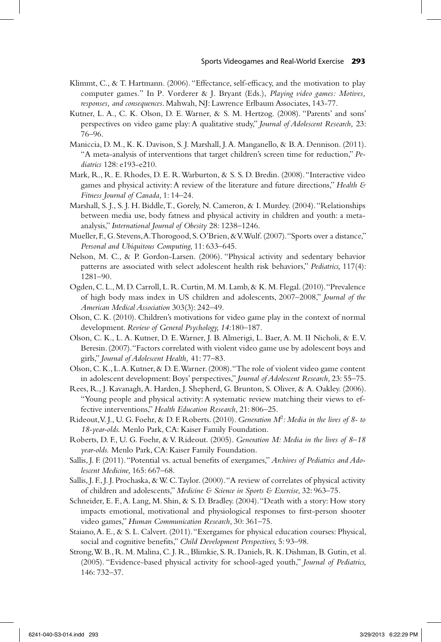- Klimmt, C., & T. Hartmann.  $(2006)$ . "Effectance, self-efficacy, and the motivation to play computer games." In P. Vorderer & J. Bryant (Eds.), *Playing video games: Motives, responses, and consequences*. Mahwah, NJ: Lawrence Erlbaum Associates, 143-77.
- Kutner, L. A., C. K. Olson, D. E. Warner, & S. M. Hertzog. (2008). "Parents' and sons' perspectives on video game play: A qualitative study," *Journal of Adolescent Research,* 23: 76–96.
- Maniccia, D. M., K. K. Davison, S. J. Marshall, J. A. Manganello, & B. A. Dennison. (2011). "A meta-analysis of interventions that target children's screen time for reduction," *Pediatrics* 128: e193-e210.
- Mark, R., R. E. Rhodes, D. E. R. Warburton, & S. S. D. Bredin. (2008). "Interactive video games and physical activity: A review of the literature and future directions," *Health & Fitness Journal of Canada,* 1: 14–24.
- Marshall, S. J., S. J. H. Biddle, T., Gorely, N. Cameron, & I. Murdey. (2004). "Relationships between media use, body fatness and physical activity in children and youth: a metaanalysis," *International Journal of Obesity* 28: 1238–1246.
- Mueller, F., G. Stevens, A. Thorogood, S. O'Brien, & V. Wulf. (2007). "Sports over a distance," *Personal and Ubiquitous Computing,* 11: 633–645.
- Nelson, M. C., & P. Gordon-Larsen. (2006). "Physical activity and sedentary behavior patterns are associated with select adolescent health risk behaviors," *Pediatrics,* 117(4): 1281–90.
- Ogden, C. L., M. D. Carroll, L. R. Curtin, M. M. Lamb, & K. M. Flegal. (2010). "Prevalence of high body mass index in US children and adolescents, 2007–2008," *Journal of the American Medical Association* 303(3): 242–49.
- Olson, C. K. (2010). Children's motivations for video game play in the context of normal development. *Review of General Psychology, 14:*180–187.
- Olson, C. K., L. A. Kutner, D. E. Warner, J. B. Almerigi, L. Baer, A. M. II Nicholi, & E. V. Beresin. (2007). "Factors correlated with violent video game use by adolescent boys and girls," *Journal of Adolescent Health,* 41: 77–83.
- Olson, C. K., L. A. Kutner, & D. E. Warner. (2008). "The role of violent video game content in adolescent development: Boys' perspectives," *Journal of Adolescent Research,* 23: 55–75.
- Rees, R., J. Kavanagh, A. Harden, J. Shepherd, G. Brunton, S. Oliver, & A. Oakley. (2006). "Young people and physical activity: A systematic review matching their views to effective interventions," *Health Education Research,* 21: 806–25.
- Rideout, V. J., U. G. Foehr, & D. F. Roberts. (2010). *Generation M<sup>2</sup>: Media in the lives of 8- to 18-year-olds.* Menlo Park, CA: Kaiser Family Foundation.
- Roberts, D. F., U. G. Foehr, & V. Rideout. (2005). *Generation M: Media in the lives of 8–18 year-olds.* Menlo Park, CA: Kaiser Family Foundation.
- Sallis, J. F. (2011). "Potential vs. actual benefits of exergames," Archives of Pediatrics and Ado*lescent Medicine,* 165: 667–68.
- Sallis, J. F., J. J. Prochaska, & W. C. Taylor. (2000). "A review of correlates of physical activity of children and adolescents," *Medicine & Science in Sports & Exercise,* 32: 963–75.
- Schneider, E. F., A. Lang, M. Shin, & S. D. Bradley. (2004). "Death with a story: How story impacts emotional, motivational and physiological responses to first-person shooter video games," *Human Communication Research,* 30: 361–75.
- Staiano, A. E., & S. L. Calvert. (2011). "Exergames for physical education courses: Physical, social and cognitive benefits," *Child Development Perspectives*, 5: 93-98.
- Strong, W. B., R. M. Malina, C. J. R., Blimkie, S. R. Daniels, R. K. Dishman, B. Gutin, et al. (2005). "Evidence-based physical activity for school-aged youth," *Journal of Pediatrics,*  146: 732–37.